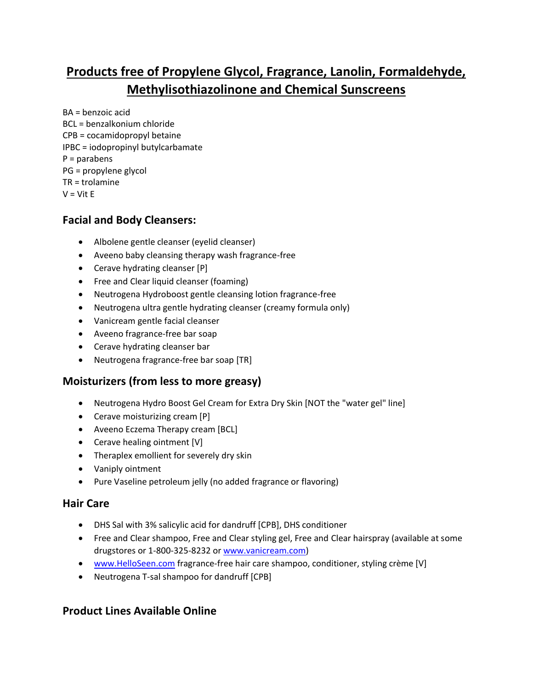# **Products free of Propylene Glycol, Fragrance, Lanolin, Formaldehyde, Methylisothiazolinone and Chemical Sunscreens**

BA = benzoic acid BCL = benzalkonium chloride CPB = cocamidopropyl betaine IPBC = iodopropinyl butylcarbamate P = parabens PG = propylene glycol TR = trolamine  $V = V$ it E

#### **Facial and Body Cleansers:**

- Albolene gentle cleanser (eyelid cleanser)
- Aveeno baby cleansing therapy wash fragrance-free
- Cerave hydrating cleanser [P]
- Free and Clear liquid cleanser (foaming)
- Neutrogena Hydroboost gentle cleansing lotion fragrance-free
- Neutrogena ultra gentle hydrating cleanser (creamy formula only)
- Vanicream gentle facial cleanser
- Aveeno fragrance-free bar soap
- Cerave hydrating cleanser bar
- Neutrogena fragrance-free bar soap [TR]

## **Moisturizers (from less to more greasy)**

- Neutrogena Hydro Boost Gel Cream for Extra Dry Skin [NOT the "water gel" line]
- Cerave moisturizing cream [P]
- Aveeno Eczema Therapy cream [BCL]
- Cerave healing ointment [V]
- Theraplex emollient for severely dry skin
- Vaniply ointment
- Pure Vaseline petroleum jelly (no added fragrance or flavoring)

#### **Hair Care**

- DHS Sal with 3% salicylic acid for dandruff [CPB], DHS conditioner
- Free and Clear shampoo, Free and Clear styling gel, Free and Clear hairspray (available at some drugstores or 1-800-325-8232 o[r www.vanicream.com\)](http://www.vanicream.com/)
- [www.HelloSeen.com](http://www.helloseen.com/) fragrance-free hair care shampoo, conditioner, styling crème [V]
- Neutrogena T-sal shampoo for dandruff [CPB]

#### **Product Lines Available Online**